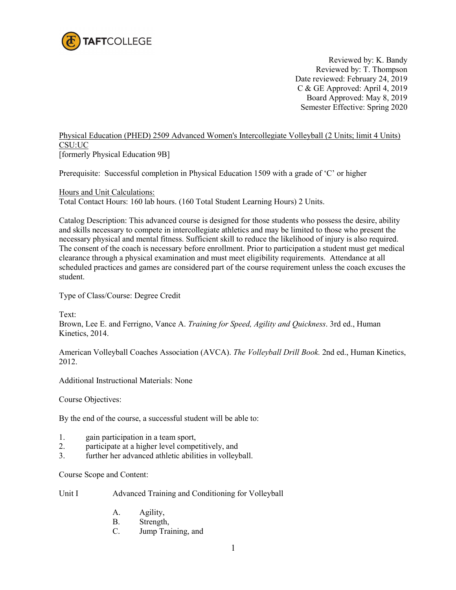

Reviewed by: K. Bandy Reviewed by: T. Thompson Date reviewed: February 24, 2019 C & GE Approved: April 4, 2019 Board Approved: May 8, 2019 Semester Effective: Spring 2020

## Physical Education (PHED) 2509 Advanced Women's Intercollegiate Volleyball (2 Units; limit 4 Units) CSU:UC

[formerly Physical Education 9B]

Prerequisite: Successful completion in Physical Education 1509 with a grade of 'C' or higher

Hours and Unit Calculations: Total Contact Hours: 160 lab hours. (160 Total Student Learning Hours) 2 Units.

Catalog Description: This advanced course is designed for those students who possess the desire, ability and skills necessary to compete in intercollegiate athletics and may be limited to those who present the necessary physical and mental fitness. Sufficient skill to reduce the likelihood of injury is also required. The consent of the coach is necessary before enrollment. Prior to participation a student must get medical clearance through a physical examination and must meet eligibility requirements. Attendance at all scheduled practices and games are considered part of the course requirement unless the coach excuses the student.

Type of Class/Course: Degree Credit

Text:

Brown, Lee E. and Ferrigno, Vance A. *Training for Speed, Agility and Quickness*. 3rd ed., Human Kinetics, 2014.

American Volleyball Coaches Association (AVCA). *The Volleyball Drill Book.* 2nd ed., Human Kinetics, 2012.

Additional Instructional Materials: None

Course Objectives:

By the end of the course, a successful student will be able to:

- 1. gain participation in a team sport,
- 2. participate at a higher level competitively, and
- 3. further her advanced athletic abilities in volleyball.

Course Scope and Content:

Unit I Advanced Training and Conditioning for Volleyball

- A. Agility,
- B. Strength,
- C. Jump Training, and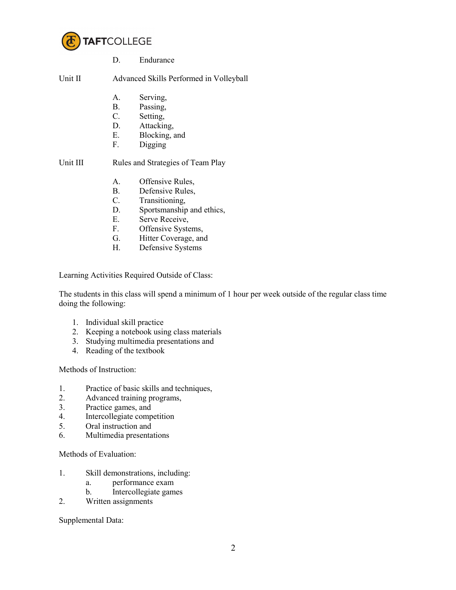

D. Endurance

Unit II Advanced Skills Performed in Volleyball

- A. Serving,
- B. Passing,
- C. Setting,
- D. Attacking,
- E. Blocking, and
- F. Digging

Unit III Rules and Strategies of Team Play

- A. Offensive Rules,
- B. Defensive Rules,
- C. Transitioning,
- D. Sportsmanship and ethics,
- E. Serve Receive,
- F. Offensive Systems,
- G. Hitter Coverage, and
- H. Defensive Systems

Learning Activities Required Outside of Class:

The students in this class will spend a minimum of 1 hour per week outside of the regular class time doing the following:

- 1. Individual skill practice
- 2. Keeping a notebook using class materials
- 3. Studying multimedia presentations and
- 4. Reading of the textbook

Methods of Instruction:

- 1. Practice of basic skills and techniques,
- 2. Advanced training programs,
- 3. Practice games, and<br>4. Intercollegiate comm
- Intercollegiate competition
- 5. Oral instruction and
- 6. Multimedia presentations

Methods of Evaluation:

- 1. Skill demonstrations, including:
	- a. performance exam
	- b. Intercollegiate games
- 2. Written assignments

Supplemental Data: